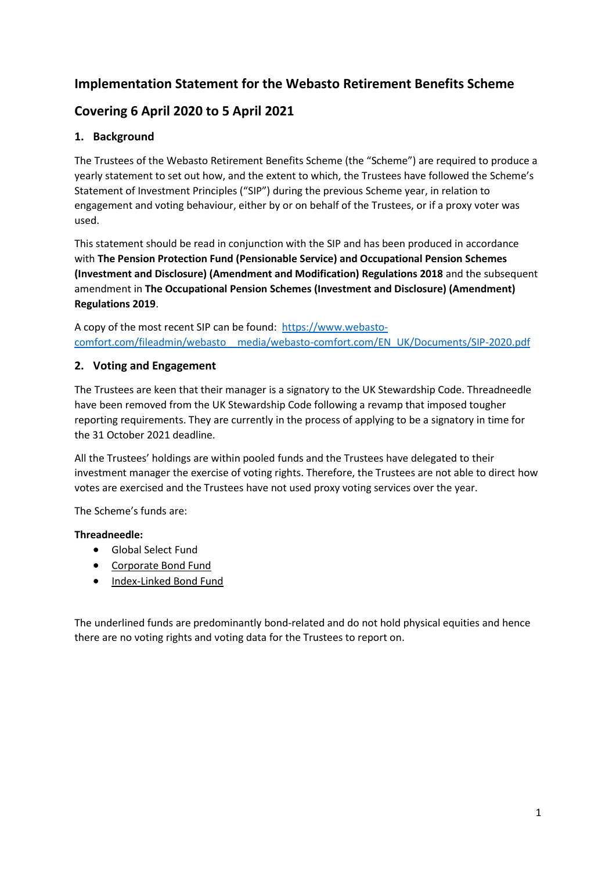# **Implementation Statement for the Webasto Retirement Benefits Scheme**

# **Covering 6 April 2020 to 5 April 2021**

## **1. Background**

The Trustees of the Webasto Retirement Benefits Scheme (the "Scheme") are required to produce a yearly statement to set out how, and the extent to which, the Trustees have followed the Scheme's Statement of Investment Principles ("SIP") during the previous Scheme year, in relation to engagement and voting behaviour, either by or on behalf of the Trustees, or if a proxy voter was used.

This statement should be read in conjunction with the SIP and has been produced in accordance with **The Pension Protection Fund (Pensionable Service) and Occupational Pension Schemes (Investment and Disclosure) (Amendment and Modification) Regulations 2018** and the subsequent amendment in **The Occupational Pension Schemes (Investment and Disclosure) (Amendment) Regulations 2019**.

A copy of the most recent SIP can be found: [https://www.webasto](https://www.webasto-comfort.com/fileadmin/webasto__media/webasto-comfort.com/EN_UK/Documents/SIP-2020.pdf)[comfort.com/fileadmin/webasto\\_\\_media/webasto-comfort.com/EN\\_UK/Documents/SIP-2020.pdf](https://www.webasto-comfort.com/fileadmin/webasto__media/webasto-comfort.com/EN_UK/Documents/SIP-2020.pdf)

### **2. Voting and Engagement**

The Trustees are keen that their manager is a signatory to the UK Stewardship Code. Threadneedle have been removed from the UK Stewardship Code following a revamp that imposed tougher reporting requirements. They are currently in the process of applying to be a signatory in time for the 31 October 2021 deadline.

All the Trustees' holdings are within pooled funds and the Trustees have delegated to their investment manager the exercise of voting rights. Therefore, the Trustees are not able to direct how votes are exercised and the Trustees have not used proxy voting services over the year.

The Scheme's funds are:

### **Threadneedle:**

- Global Select Fund
- Corporate Bond Fund
- Index-Linked Bond Fund

The underlined funds are predominantly bond-related and do not hold physical equities and hence there are no voting rights and voting data for the Trustees to report on.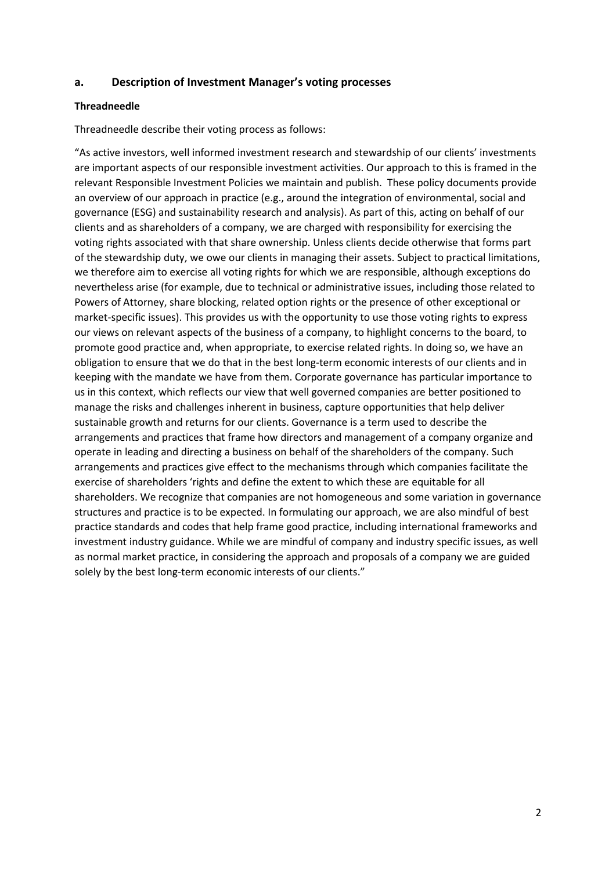### **a. Description of Investment Manager's voting processes**

#### **Threadneedle**

Threadneedle describe their voting process as follows:

"As active investors, well informed investment research and stewardship of our clients' investments are important aspects of our responsible investment activities. Our approach to this is framed in the relevant Responsible Investment Policies we maintain and publish. These policy documents provide an overview of our approach in practice (e.g., around the integration of environmental, social and governance (ESG) and sustainability research and analysis). As part of this, acting on behalf of our clients and as shareholders of a company, we are charged with responsibility for exercising the voting rights associated with that share ownership. Unless clients decide otherwise that forms part of the stewardship duty, we owe our clients in managing their assets. Subject to practical limitations, we therefore aim to exercise all voting rights for which we are responsible, although exceptions do nevertheless arise (for example, due to technical or administrative issues, including those related to Powers of Attorney, share blocking, related option rights or the presence of other exceptional or market-specific issues). This provides us with the opportunity to use those voting rights to express our views on relevant aspects of the business of a company, to highlight concerns to the board, to promote good practice and, when appropriate, to exercise related rights. In doing so, we have an obligation to ensure that we do that in the best long-term economic interests of our clients and in keeping with the mandate we have from them. Corporate governance has particular importance to us in this context, which reflects our view that well governed companies are better positioned to manage the risks and challenges inherent in business, capture opportunities that help deliver sustainable growth and returns for our clients. Governance is a term used to describe the arrangements and practices that frame how directors and management of a company organize and operate in leading and directing a business on behalf of the shareholders of the company. Such arrangements and practices give effect to the mechanisms through which companies facilitate the exercise of shareholders 'rights and define the extent to which these are equitable for all shareholders. We recognize that companies are not homogeneous and some variation in governance structures and practice is to be expected. In formulating our approach, we are also mindful of best practice standards and codes that help frame good practice, including international frameworks and investment industry guidance. While we are mindful of company and industry specific issues, as well as normal market practice, in considering the approach and proposals of a company we are guided solely by the best long-term economic interests of our clients."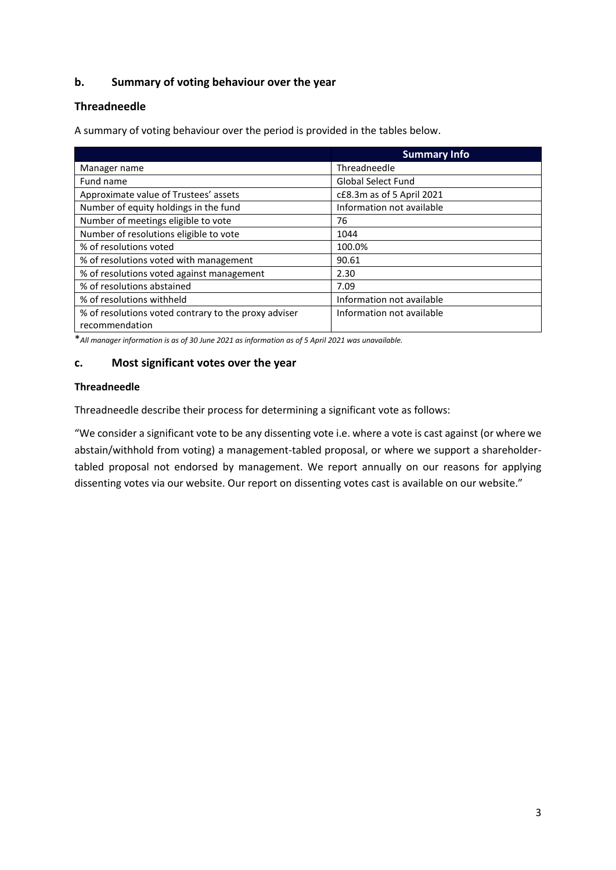### **b. Summary of voting behaviour over the year**

### **Threadneedle**

A summary of voting behaviour over the period is provided in the tables below.

|                                                      | <b>Summary Info</b>       |
|------------------------------------------------------|---------------------------|
| Manager name                                         | Threadneedle              |
| Fund name                                            | <b>Global Select Fund</b> |
| Approximate value of Trustees' assets                | c£8.3m as of 5 April 2021 |
| Number of equity holdings in the fund                | Information not available |
| Number of meetings eligible to vote                  | 76                        |
| Number of resolutions eligible to vote               | 1044                      |
| % of resolutions voted                               | 100.0%                    |
| % of resolutions voted with management               | 90.61                     |
| % of resolutions voted against management            | 2.30                      |
| % of resolutions abstained                           | 7.09                      |
| % of resolutions withheld                            | Information not available |
| % of resolutions voted contrary to the proxy adviser | Information not available |
| recommendation                                       |                           |

\**All manager information is as of 30 June 2021 as information as of 5 April 2021 was unavailable.*

### **c. Most significant votes over the year**

### **Threadneedle**

Threadneedle describe their process for determining a significant vote as follows:

"We consider a significant vote to be any dissenting vote i.e. where a vote is cast against (or where we abstain/withhold from voting) a management-tabled proposal, or where we support a shareholdertabled proposal not endorsed by management. We report annually on our reasons for applying dissenting votes via our website. Our report on dissenting votes cast is available on our website."